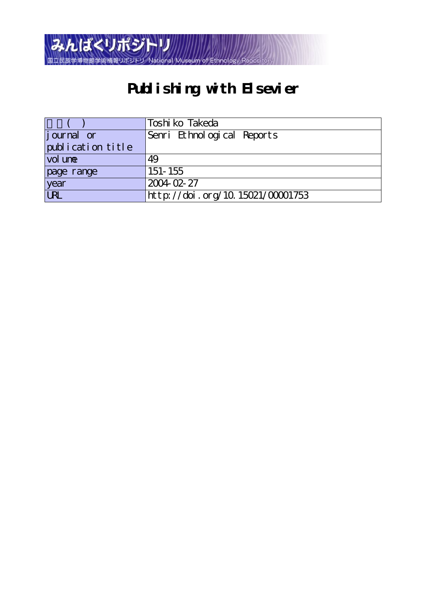

# **Publishing with Elsevier**

|                   | Toshi ko Takeda                  |
|-------------------|----------------------------------|
| journal or        | Senri Ethnological Reports       |
| publication title |                                  |
| vol une           | 49                               |
| page range        | 151 - 155                        |
| year              | $2004 - 02 - 27$                 |
| <b>URL</b>        | http://doi.org/10.15021/00001753 |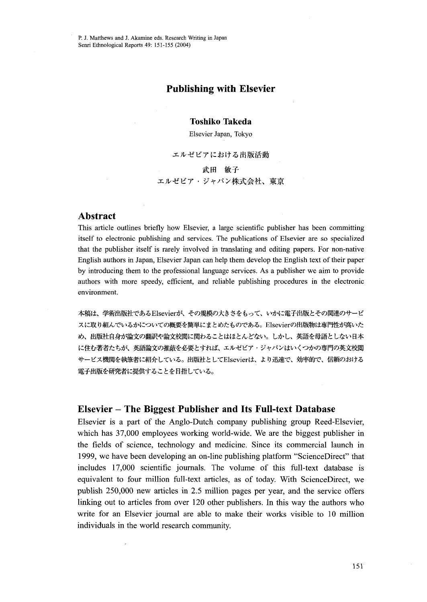# Publishing with Elsevier

# Toshiko Takeda

Elsevier Japan, Tokyo

エルゼビアにおける出版活動

あいし エストライト 武 耳ルゼビア・ジャパン株式会社、東京

# Abstract

This article outlines briefly how Elsevier, a large scientific publisher has been committing itself to electronic publishing and services. The publications of E豆sevier are so specialized that the publisher itself is rarely involved in translating and editing papers. For non-native English authors in Japan, Elsevier Japan can help them develop the English text of their paper by introducing them to the professional language services. As a publisher we aim to provide authors with more speedy, efficient, and reliable publishing procedures in the electronic environment.

本稿は、学術出版社であるElsevierが、その規模の大きさをもって、いかに電子出版とその関連のサービ スに取り組んでいるかについての概要を簡単にまとめたものである。Elsevierの出版物は専門性が高いた め、出版社自身が論文の翻訳や論文校閲に関わることはほとんどない。しかし、英語を母語としない日本 に住む著者たちが、英語論文の推敲を必要とすれば、エルゼビア・ジャパンはいくつかの専門の英文校閲 サービス機関を執筆者に紹介している。出版社としてElsevierは、より迅速で、効率的で、信頼のおける 電子出版を研究者に提供することを目指している。

### Elsevier – The Biggest Publisher and Its Full-text Database

Elsevier is a part of the Anglo-Dutch company publishing group Reed-Elsevier, which has 37,000 employees working world-wide. We are the biggest publisher in the fields of science, technology and medicine. Since its commercial launch in 1999, we have been developing an on-line publishing platform "ScienceDirect" that includes 17,000 scientific journals. The volume of this full-text database is equivalent to four million full-text articles, as of today. With ScienceDirect, we publish 250,000 new articles in 2.5 million pages per year, and the service offers linking out to articles from over 120 other publishers. In this way the authors who write for an Elsevier journal are able to make their works visible to 10 million individuals in the world research community.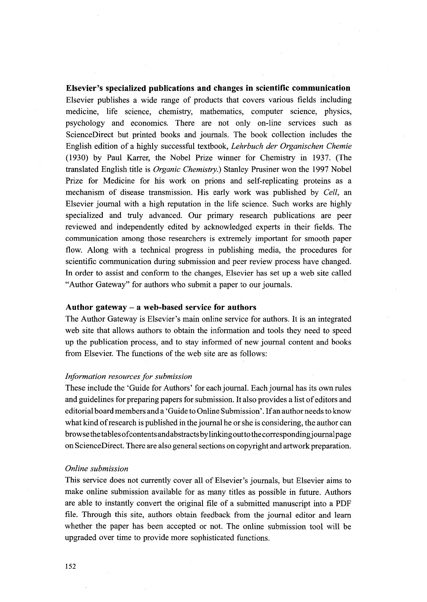Elsevier's specialized publications and changes in scientific communication Elsevier publishes a wide range of products that covers various fields including medicine, life science, chemistry, mathematics, computer science, physics, psychology and economics. There are not only on-line services such as ScienceDirect but printed books and journals. The book collection includes the English edition of a highly successfu1 textbook, Lehrbuch der Organischen Chemie (1930) by Paul Karrer, the Nobel Prize winner for Chemistry in 1937. (The translated English title is 0rganic Chemistry.) Stanley Prusiner won the 1997 Nobel Prize for Medicine for his work on prions and self-replicating proteins as a mechanism of disease transmission. His early work was published by Cell, an Elsevier journal with a high reputation in the life science. Such works are highly specialized and truly advanced. Our primary research publications are peer reviewed and independently edited by acknowledged experts in their fields. The communication among those researchers is extremely important for smooth paper flow. Along with a technical progress in publishing media, the procedures for scientific communication during submission and peer review process have changed. In order to assist and conform to the changes, Elsevier has set up a web site called "Author Gateway" for authors who submit a paper to our journals.

#### Author gateway  $-$  a web-based service for authors

The Author Gateway is Elsevier's main online service for authors. It is an integrated web site that allows authors to obtain the information and tools they need to speed up the publication process, and to stay informed of new journal content and books from Elsevier. The functions of the web site are as follows:

#### Information resources for submission

These include the 'Guide for Authors' for each journal. Each journal has its own rules and guidelines for preparing papers for submission. It also provides a list ofeditors and editorial board members and a 'Guide to Online Submission'. If an author needs to know what kind of research is published in the journal he or she is considering, the author can browsethetablesofcontentsandabstractsbylinkingouttothecorrespondingjournalpage on ScienceDirect. There are also general sections on copyright and artwork preparation.

### Online submission

This service does not currently cover all of Elsevier's journals, but Elsevier aims to make online submission available for as many titles as possible in future. Authors are able to instantly convert the original file of a submitted manuscript into a PDF file. Through this site, authors obtain feedback from the journal editor and learn whether the paper has been accepted or not. The online submission tool will be upgraded over time to provide more sophisticated functions.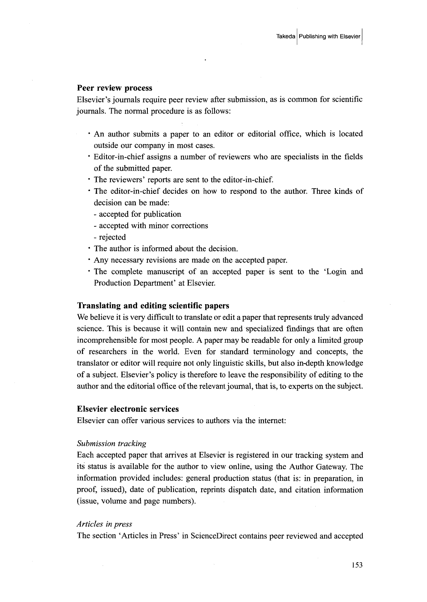#### Peer review process

Elsevier's journals require peer review after submission, as is common for scientific journals. The normal procedure is as follows:

- ' An author submits a paper to an editor or editorial office, which is located outside our company in most cases.
- ' Editor-in-chief assigns a number of reviewers who are specialists in the fields of the submitted paper.
- ' The reviewers' reports are sent to the editor-in-chie£
- ' The editor-in-chief decides on how to respond to the author. Three kinds of decision can be made:
	- accepted for publication
	- accepted with minor corrections
	- rejected
- ' The author is infbrmed about the decision.
- ' Any necessary revisions are made on the accepted paper.
- 'The complete manuscript of an accepted paper is sent to the `Login and Production Department' at Elsevier.

# Translating and editing scientific papers

We believe it is very difficult to translate or edit a paper that represents truly advanced seience. This is because it will contain new and'specialized findings that are often incomprehensible for most people. A paper may be readable for only a limited group of researchers in the world. Even for standard terminology and concepts, the translator or editor will require not only linguistic skills, but also in-depth knowledge ofa subject. Elsevier's policy is therefbre to leave the responsibility ofediting to the author and the editorial office of the relevant journal, that is, to experts on the subject.

#### Elsevier electronic services

Elsevier can offer various services to authors via the internet:

#### Submission tracking

Each accepted paper that arrives at Elsevier is registered in our tracking system and its status is available for the author to view online, using the Author Gateway. The information provided includes: general production status (that is: in preparation, in proof, issued), date of publication, reprints dispatch date, and citation information (issue, volume and page numbers).

#### Articles in press

The section 'Articles in Press' in ScienceDirect contains peer reviewed and accepted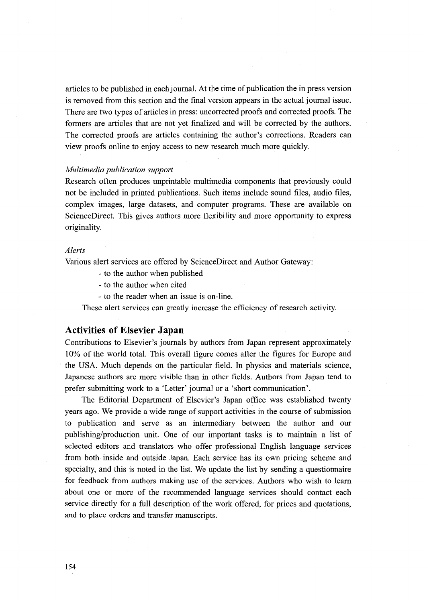articles to be published in each journal. At the time of publication the in press version is removed from this section and the final version appears in the actual journal issue. There are two types of articles in press: uncorrected proofs and corrected proofs. The formers are articles that are not yet finalized and will be corrected by the authors. The corrected proofs are articles containing the author's corrections. Readers can view proofs online to eajoy access to new research much more quickly.

#### Multimedia publication support

Research often produces unprintable multimedia components that previously could not be included in printed publications. Such items include sound files, audio files, complex images, large datasets, and computer programs. These are available on ScienceDirect. This gives authors more flexibility and more opportunity to express originality.

#### Alerts

Various alert services are offered by ScienceDirect and Author Gateway:

- to the author when published
- to the author when cited
- to the reader when an issue is on-line.

These alert services can greatly increase the efficiency of research activity.

#### Activities of Elsevier Japan

Contributions to Elsevier's journals by authors from Japan represent approximately 10% of the world total. This overall figure comes after the figures for Europe and the USA. Much depends on the particular field. In physics and materials science, Japanese authors are more visible than in other fields. Authors from Japan tend to prefer submitting work to a 'Letter' journal or a 'short communication'.

 The Editorial Department of Elsevier's Japan office was established twenty years ago. We provide a wide range of support activities in the course of submission to publication and serve as an intermediary between the author and our publishing/production unit. One of our important tasks is to maintain a list of selected editors and translators who offer professional English language services from both inside and outside Japan. Each service has its own pricing scheme and specialty, and this is noted in the list. We update the list by sending a questionnaire for feedback from authors making use of the services. Authors who wish to learn about one or more of the recommended language services should contact each service directly for a full description of the work offered, for prices and quotations, and to place orders and transfer manuscripts.